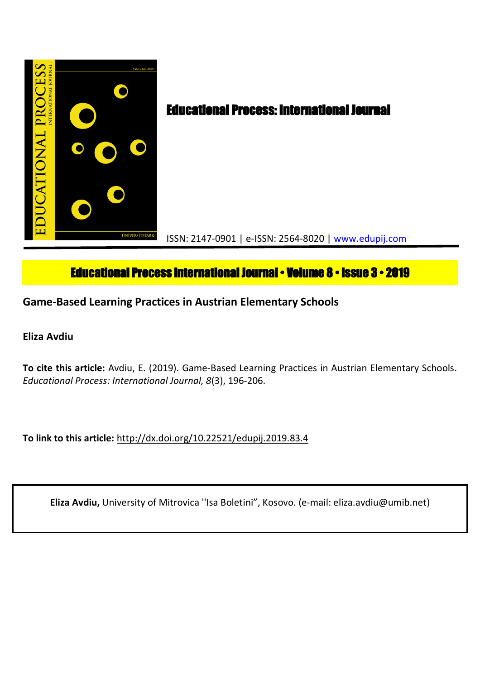

# **Educational Process International Journal • Volume 8 • Issue 3 • 2019**

**Game-Based Learning Practices in Austrian Elementary Schools**

**Eliza Avdiu**

**To cite this article:** Avdiu, E. (2019). Game-Based Learning Practices in Austrian Elementary Schools. *Educational Process: International Journal, 8*(3), 196-206.

**To link to this article:** http://dx.doi.org/10.22521/edupij.2019.83.4

**Eliza Avdiu,** University of Mitrovica ''Isa Boletini", Kosovo. (e-mail: eliza.avdiu@umib.net)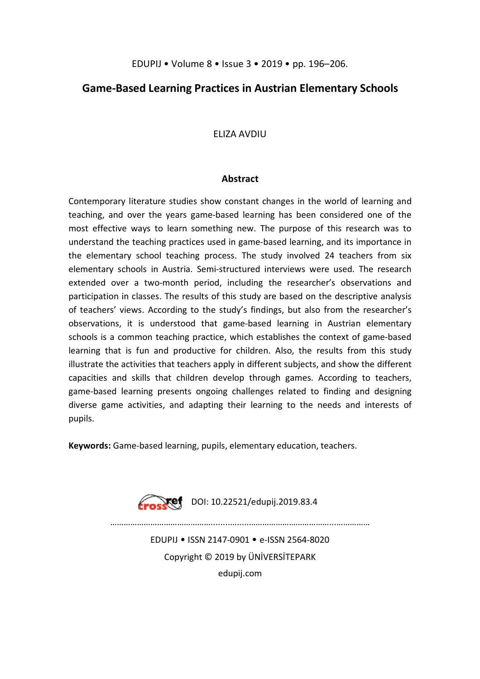# **Game-Based Learning Practices in Austrian Elementary Schools**

# ELIZA AVDIU

## **Abstract**

Contemporary literature studies show constant changes in the world of learning and teaching, and over the years game-based learning has been considered one of the most effective ways to learn something new. The purpose of this research was to understand the teaching practices used in game-based learning, and its importance in the elementary school teaching process. The study involved 24 teachers from six elementary schools in Austria. Semi-structured interviews were used. The research extended over a two-month period, including the researcher's observations and participation in classes. The results of this study are based on the descriptive analysis of teachers' views. According to the study's findings, but also from the researcher's observations, it is understood that game-based learning in Austrian elementary schools is a common teaching practice, which establishes the context of game-based learning that is fun and productive for children. Also, the results from this study illustrate the activities that teachers apply in different subjects, and show the different capacities and skills that children develop through games. According to teachers, game-based learning presents ongoing challenges related to finding and designing diverse game activities, and adapting their learning to the needs and interests of pupils.

**Keywords:** Game-based learning, pupils, elementary education, teachers.



 $Xef$  DOI: 10.22521/edupij.2019.83.4

………………………………………........….....………………………………...……………

EDUPIJ • ISSN 2147-0901 • e-ISSN 2564-8020 Copyright © 2019 by ÜNİVERSİTEPARK edupij.com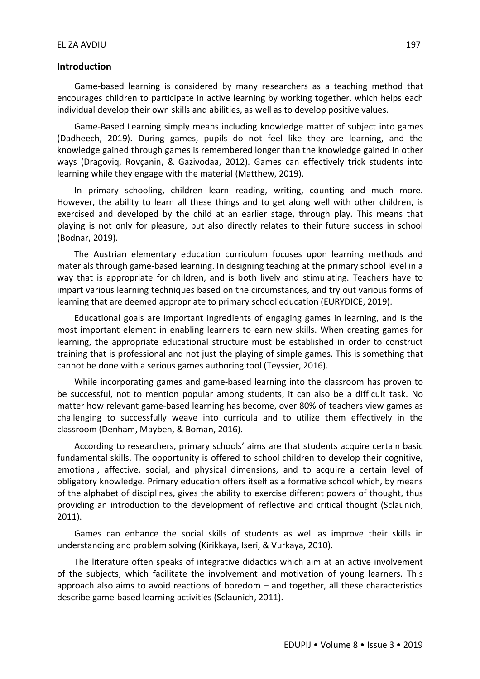#### **Introduction**

Game-based learning is considered by many researchers as a teaching method that encourages children to participate in active learning by working together, which helps each individual develop their own skills and abilities, as well as to develop positive values.

Game-Based Learning simply means including knowledge matter of subject into games (Dadheech, 2019). During games, pupils do not feel like they are learning, and the knowledge gained through games is remembered longer than the knowledge gained in other ways (Dragoviq, Rovçanin, & Gazivodaa, 2012). Games can effectively trick students into learning while they engage with the material (Matthew, 2019).

In primary schooling, children learn reading, writing, counting and much more. However, the ability to learn all these things and to get along well with other children, is exercised and developed by the child at an earlier stage, through play. This means that playing is not only for pleasure, but also directly relates to their future success in school (Bodnar, 2019).

The Austrian elementary education curriculum focuses upon learning methods and materials through game-based learning. In designing teaching at the primary school level in a way that is appropriate for children, and is both lively and stimulating. Teachers have to impart various learning techniques based on the circumstances, and try out various forms of learning that are deemed appropriate to primary school education (EURYDICE, 2019).

Educational goals are important ingredients of engaging games in learning, and is the most important element in enabling learners to earn new skills. When creating games for learning, the appropriate educational structure must be established in order to construct training that is professional and not just the playing of simple games. This is something that cannot be done with a serious games authoring tool (Teyssier, 2016).

While incorporating games and game-based learning into the classroom has proven to be successful, not to mention popular among students, it can also be a difficult task. No matter how relevant game-based learning has become, over 80% of teachers view games as challenging to successfully weave into curricula and to utilize them effectively in the classroom (Denham, Mayben, & Boman, 2016).

According to researchers, primary schools' aims are that students acquire certain basic fundamental skills. The opportunity is offered to school children to develop their cognitive, emotional, affective, social, and physical dimensions, and to acquire a certain level of obligatory knowledge. Primary education offers itself as a formative school which, by means of the alphabet of disciplines, gives the ability to exercise different powers of thought, thus providing an introduction to the development of reflective and critical thought (Sclaunich, 2011).

Games can enhance the social skills of students as well as improve their skills in understanding and problem solving (Kirikkaya, Iseri, & Vurkaya, 2010).

The literature often speaks of integrative didactics which aim at an active involvement of the subjects, which facilitate the involvement and motivation of young learners. This approach also aims to avoid reactions of boredom – and together, all these characteristics describe game-based learning activities (Sclaunich, 2011).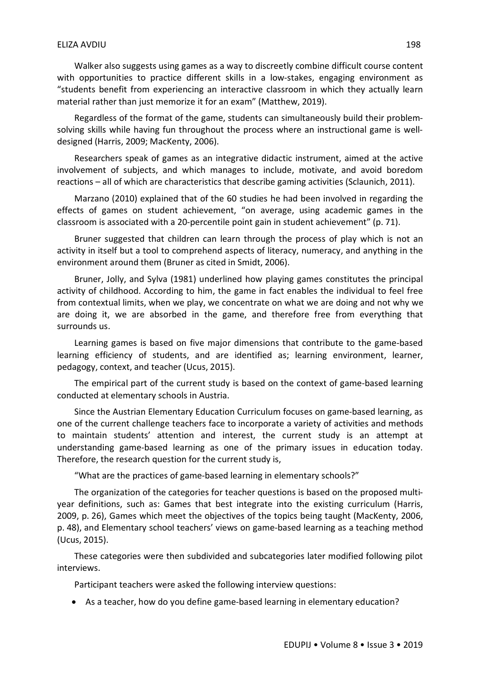Walker also suggests using games as a way to discreetly combine difficult course content with opportunities to practice different skills in a low-stakes, engaging environment as "students benefit from experiencing an interactive classroom in which they actually learn material rather than just memorize it for an exam" (Matthew, 2019).

Regardless of the format of the game, students can simultaneously build their problemsolving skills while having fun throughout the process where an instructional game is welldesigned (Harris, 2009; MacKenty, 2006).

Researchers speak of games as an integrative didactic instrument, aimed at the active involvement of subjects, and which manages to include, motivate, and avoid boredom reactions – all of which are characteristics that describe gaming activities (Sclaunich, 2011).

Marzano (2010) explained that of the 60 studies he had been involved in regarding the effects of games on student achievement, "on average, using academic games in the classroom is associated with a 20-percentile point gain in student achievement" (p. 71).

Bruner suggested that children can learn through the process of play which is not an activity in itself but a tool to comprehend aspects of literacy, numeracy, and anything in the environment around them (Bruner as cited in Smidt, 2006).

Bruner, Jolly, and Sylva (1981) underlined how playing games constitutes the principal activity of childhood. According to him, the game in fact enables the individual to feel free from contextual limits, when we play, we concentrate on what we are doing and not why we are doing it, we are absorbed in the game, and therefore free from everything that surrounds us.

Learning games is based on five major dimensions that contribute to the game-based learning efficiency of students, and are identified as; learning environment, learner, pedagogy, context, and teacher (Ucus, 2015).

The empirical part of the current study is based on the context of game-based learning conducted at elementary schools in Austria.

Since the Austrian Elementary Education Curriculum focuses on game-based learning, as one of the current challenge teachers face to incorporate a variety of activities and methods to maintain students' attention and interest, the current study is an attempt at understanding game-based learning as one of the primary issues in education today. Therefore, the research question for the current study is,

"What are the practices of game-based learning in elementary schools?"

The organization of the categories for teacher questions is based on the proposed multiyear definitions, such as: Games that best integrate into the existing curriculum (Harris, 2009, p. 26), Games which meet the objectives of the topics being taught (MacKenty, 2006, p. 48), and Elementary school teachers' views on game-based learning as a teaching method (Ucus, 2015).

These categories were then subdivided and subcategories later modified following pilot interviews.

Participant teachers were asked the following interview questions:

As a teacher, how do you define game-based learning in elementary education?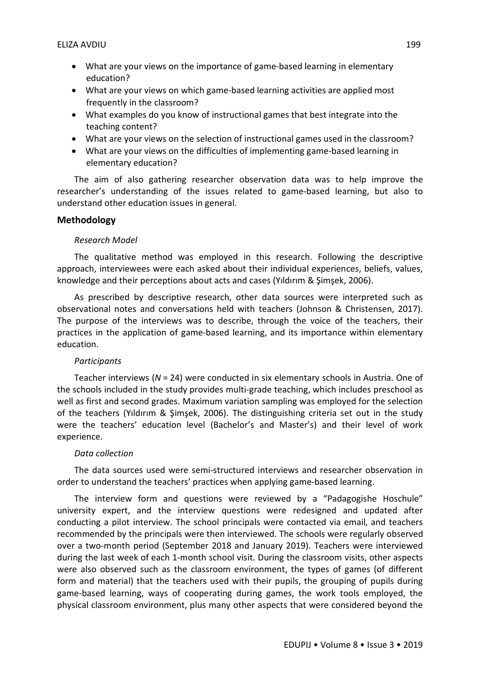- What are your views on the importance of game-based learning in elementary education?
- What are your views on which game-based learning activities are applied most frequently in the classroom?
- What examples do you know of instructional games that best integrate into the teaching content?
- What are your views on the selection of instructional games used in the classroom?
- What are your views on the difficulties of implementing game-based learning in elementary education?

The aim of also gathering researcher observation data was to help improve the researcher's understanding of the issues related to game-based learning, but also to understand other education issues in general.

## **Methodology**

#### *Research Model*

The qualitative method was employed in this research. Following the descriptive approach, interviewees were each asked about their individual experiences, beliefs, values, knowledge and their perceptions about acts and cases (Yıldırım & Şimşek, 2006).

As prescribed by descriptive research, other data sources were interpreted such as observational notes and conversations held with teachers (Johnson & Christensen, 2017). The purpose of the interviews was to describe, through the voice of the teachers, their practices in the application of game-based learning, and its importance within elementary education.

#### *Participants*

Teacher interviews (*N* = 24) were conducted in six elementary schools in Austria. One of the schools included in the study provides multi-grade teaching, which includes preschool as well as first and second grades. Maximum variation sampling was employed for the selection of the teachers (Yıldırım & Şimşek, 2006). The distinguishing criteria set out in the study were the teachers' education level (Bachelor's and Master's) and their level of work experience.

#### *Data collection*

The data sources used were semi-structured interviews and researcher observation in order to understand the teachers' practices when applying game-based learning.

The interview form and questions were reviewed by a "Padagogishe Hoschule" university expert, and the interview questions were redesigned and updated after conducting a pilot interview. The school principals were contacted via email, and teachers recommended by the principals were then interviewed. The schools were regularly observed over a two-month period (September 2018 and January 2019). Teachers were interviewed during the last week of each 1-month school visit. During the classroom visits, other aspects were also observed such as the classroom environment, the types of games (of different form and material) that the teachers used with their pupils, the grouping of pupils during game-based learning, ways of cooperating during games, the work tools employed, the physical classroom environment, plus many other aspects that were considered beyond the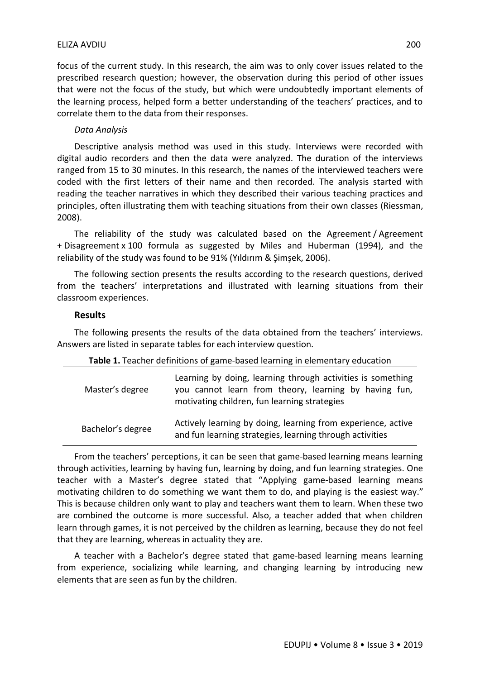#### ELIZA AVDIU 200

focus of the current study. In this research, the aim was to only cover issues related to the prescribed research question; however, the observation during this period of other issues that were not the focus of the study, but which were undoubtedly important elements of the learning process, helped form a better understanding of the teachers' practices, and to correlate them to the data from their responses.

#### *Data Analysis*

Descriptive analysis method was used in this study. Interviews were recorded with digital audio recorders and then the data were analyzed. The duration of the interviews ranged from 15 to 30 minutes. In this research, the names of the interviewed teachers were coded with the first letters of their name and then recorded. The analysis started with reading the teacher narratives in which they described their various teaching practices and principles, often illustrating them with teaching situations from their own classes (Riessman, 2008).

The reliability of the study was calculated based on the Agreement / Agreement + Disagreement x 100 formula as suggested by Miles and Huberman (1994), and the reliability of the study was found to be 91% (Yıldırım & Şimşek, 2006).

The following section presents the results according to the research questions, derived from the teachers' interpretations and illustrated with learning situations from their classroom experiences.

#### **Results**

The following presents the results of the data obtained from the teachers' interviews. Answers are listed in separate tables for each interview question.

| Table 1. Teacher definitions of game-based learning in elementary education |                                                                                                                                                                      |
|-----------------------------------------------------------------------------|----------------------------------------------------------------------------------------------------------------------------------------------------------------------|
| Master's degree                                                             | Learning by doing, learning through activities is something<br>you cannot learn from theory, learning by having fun,<br>motivating children, fun learning strategies |
| Bachelor's degree                                                           | Actively learning by doing, learning from experience, active<br>and fun learning strategies, learning through activities                                             |

From the teachers' perceptions, it can be seen that game-based learning means learning through activities, learning by having fun, learning by doing, and fun learning strategies. One teacher with a Master's degree stated that "Applying game-based learning means motivating children to do something we want them to do, and playing is the easiest way." This is because children only want to play and teachers want them to learn. When these two are combined the outcome is more successful. Also, a teacher added that when children learn through games, it is not perceived by the children as learning, because they do not feel that they are learning, whereas in actuality they are.

A teacher with a Bachelor's degree stated that game-based learning means learning from experience, socializing while learning, and changing learning by introducing new elements that are seen as fun by the children.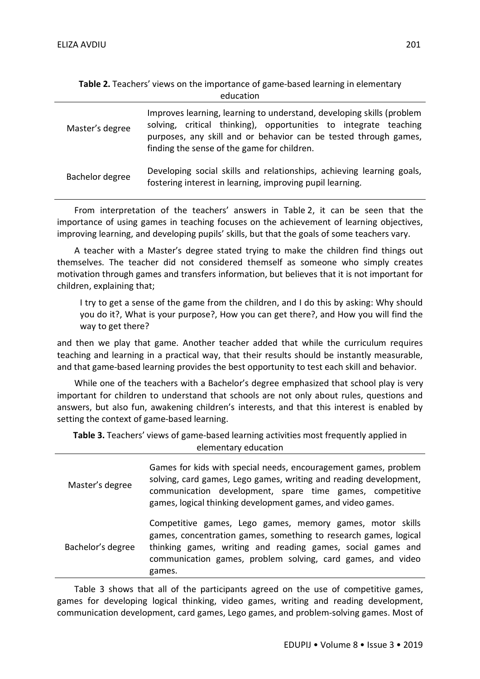| education |  |
|-----------|--|
|-----------|--|

| Master's degree | Improves learning, learning to understand, developing skills (problem<br>solving, critical thinking), opportunities to integrate teaching<br>purposes, any skill and or behavior can be tested through games,<br>finding the sense of the game for children. |
|-----------------|--------------------------------------------------------------------------------------------------------------------------------------------------------------------------------------------------------------------------------------------------------------|
| Bachelor degree | Developing social skills and relationships, achieving learning goals,<br>fostering interest in learning, improving pupil learning.                                                                                                                           |

From interpretation of the teachers' answers in Table 2, it can be seen that the importance of using games in teaching focuses on the achievement of learning objectives, improving learning, and developing pupils' skills, but that the goals of some teachers vary.

A teacher with a Master's degree stated trying to make the children find things out themselves. The teacher did not considered themself as someone who simply creates motivation through games and transfers information, but believes that it is not important for children, explaining that;

I try to get a sense of the game from the children, and I do this by asking: Why should you do it?, What is your purpose?, How you can get there?, and How you will find the way to get there?

and then we play that game. Another teacher added that while the curriculum requires teaching and learning in a practical way, that their results should be instantly measurable, and that game-based learning provides the best opportunity to test each skill and behavior.

While one of the teachers with a Bachelor's degree emphasized that school play is very important for children to understand that schools are not only about rules, questions and answers, but also fun, awakening children's interests, and that this interest is enabled by setting the context of game-based learning.

**Table 3.** Teachers' views of game-based learning activities most frequently applied in elementary education

| Master's degree   | Games for kids with special needs, encouragement games, problem<br>solving, card games, Lego games, writing and reading development,<br>communication development, spare time games, competitive<br>games, logical thinking development games, and video games.       |
|-------------------|-----------------------------------------------------------------------------------------------------------------------------------------------------------------------------------------------------------------------------------------------------------------------|
| Bachelor's degree | Competitive games, Lego games, memory games, motor skills<br>games, concentration games, something to research games, logical<br>thinking games, writing and reading games, social games and<br>communication games, problem solving, card games, and video<br>games. |

Table 3 shows that all of the participants agreed on the use of competitive games, games for developing logical thinking, video games, writing and reading development, communication development, card games, Lego games, and problem-solving games. Most of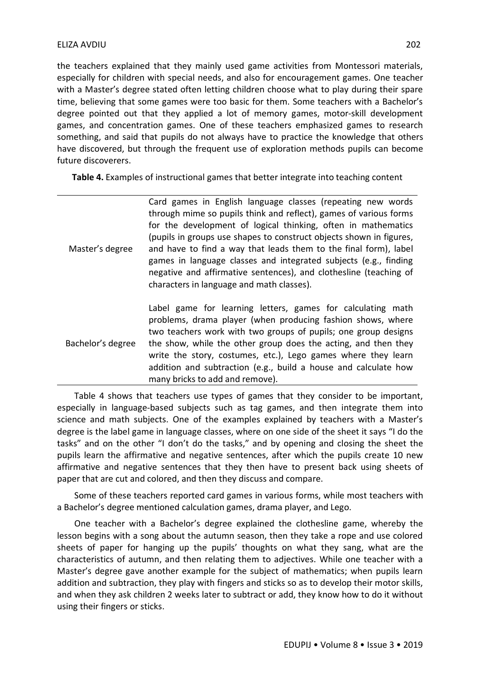the teachers explained that they mainly used game activities from Montessori materials, especially for children with special needs, and also for encouragement games. One teacher with a Master's degree stated often letting children choose what to play during their spare time, believing that some games were too basic for them. Some teachers with a Bachelor's degree pointed out that they applied a lot of memory games, motor-skill development games, and concentration games. One of these teachers emphasized games to research something, and said that pupils do not always have to practice the knowledge that others have discovered, but through the frequent use of exploration methods pupils can become future discoverers.

**Table 4.** Examples of instructional games that better integrate into teaching content

| Master's degree   | Card games in English language classes (repeating new words<br>through mime so pupils think and reflect), games of various forms<br>for the development of logical thinking, often in mathematics<br>(pupils in groups use shapes to construct objects shown in figures,<br>and have to find a way that leads them to the final form), label<br>games in language classes and integrated subjects (e.g., finding<br>negative and affirmative sentences), and clothesline (teaching of<br>characters in language and math classes). |
|-------------------|------------------------------------------------------------------------------------------------------------------------------------------------------------------------------------------------------------------------------------------------------------------------------------------------------------------------------------------------------------------------------------------------------------------------------------------------------------------------------------------------------------------------------------|
| Bachelor's degree | Label game for learning letters, games for calculating math<br>problems, drama player (when producing fashion shows, where<br>two teachers work with two groups of pupils; one group designs<br>the show, while the other group does the acting, and then they<br>write the story, costumes, etc.), Lego games where they learn<br>addition and subtraction (e.g., build a house and calculate how<br>many bricks to add and remove).                                                                                              |

Table 4 shows that teachers use types of games that they consider to be important, especially in language-based subjects such as tag games, and then integrate them into science and math subjects. One of the examples explained by teachers with a Master's degree is the label game in language classes, where on one side of the sheet it says "I do the tasks" and on the other "I don't do the tasks," and by opening and closing the sheet the pupils learn the affirmative and negative sentences, after which the pupils create 10 new affirmative and negative sentences that they then have to present back using sheets of paper that are cut and colored, and then they discuss and compare.

Some of these teachers reported card games in various forms, while most teachers with a Bachelor's degree mentioned calculation games, drama player, and Lego.

One teacher with a Bachelor's degree explained the clothesline game, whereby the lesson begins with a song about the autumn season, then they take a rope and use colored sheets of paper for hanging up the pupils' thoughts on what they sang, what are the characteristics of autumn, and then relating them to adjectives. While one teacher with a Master's degree gave another example for the subject of mathematics; when pupils learn addition and subtraction, they play with fingers and sticks so as to develop their motor skills, and when they ask children 2 weeks later to subtract or add, they know how to do it without using their fingers or sticks.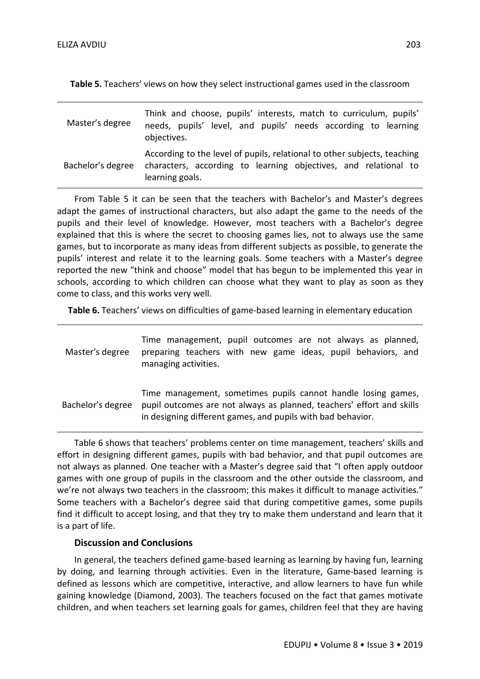**Table 5.** Teachers' views on how they select instructional games used in the classroom

| Master's degree   | Think and choose, pupils' interests, match to curriculum, pupils'<br>needs, pupils' level, and pupils' needs according to learning<br>objectives.              |
|-------------------|----------------------------------------------------------------------------------------------------------------------------------------------------------------|
| Bachelor's degree | According to the level of pupils, relational to other subjects, teaching<br>characters, according to learning objectives, and relational to<br>learning goals. |

From Table 5 it can be seen that the teachers with Bachelor's and Master's degrees adapt the games of instructional characters, but also adapt the game to the needs of the pupils and their level of knowledge. However, most teachers with a Bachelor's degree explained that this is where the secret to choosing games lies, not to always use the same games, but to incorporate as many ideas from different subjects as possible, to generate the pupils' interest and relate it to the learning goals. Some teachers with a Master's degree reported the new "think and choose" model that has begun to be implemented this year in schools, according to which children can choose what they want to play as soon as they come to class, and this works very well.

**Table 6.** Teachers' views on difficulties of game-based learning in elementary education

| Master's degree   | Time management, pupil outcomes are not always as planned,<br>preparing teachers with new game ideas, pupil behaviors, and<br>managing activities.                                                    |
|-------------------|-------------------------------------------------------------------------------------------------------------------------------------------------------------------------------------------------------|
| Bachelor's degree | Time management, sometimes pupils cannot handle losing games,<br>pupil outcomes are not always as planned, teachers' effort and skills<br>in designing different games, and pupils with bad behavior. |

Table 6 shows that teachers' problems center on time management, teachers' skills and effort in designing different games, pupils with bad behavior, and that pupil outcomes are not always as planned. One teacher with a Master's degree said that "I often apply outdoor games with one group of pupils in the classroom and the other outside the classroom, and we're not always two teachers in the classroom; this makes it difficult to manage activities." Some teachers with a Bachelor's degree said that during competitive games, some pupils find it difficult to accept losing, and that they try to make them understand and learn that it is a part of life.

#### **Discussion and Conclusions**

In general, the teachers defined game-based learning as learning by having fun, learning by doing, and learning through activities. Even in the literature, Game-based learning is defined as lessons which are competitive, interactive, and allow learners to have fun while gaining knowledge (Diamond, 2003). The teachers focused on the fact that games motivate children, and when teachers set learning goals for games, children feel that they are having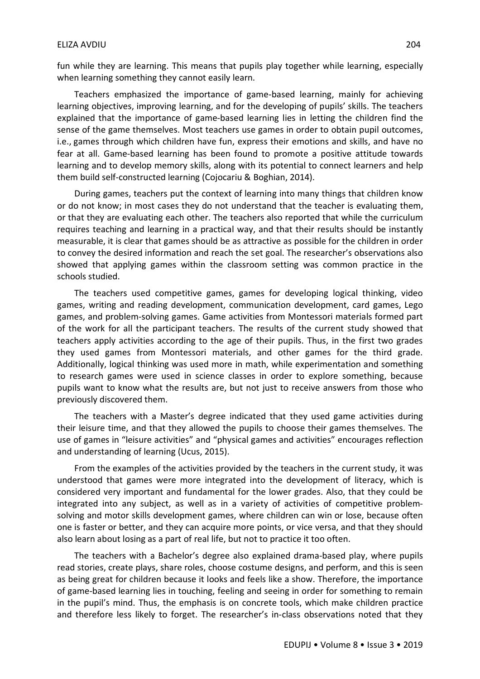fun while they are learning. This means that pupils play together while learning, especially when learning something they cannot easily learn.

Teachers emphasized the importance of game-based learning, mainly for achieving learning objectives, improving learning, and for the developing of pupils' skills. The teachers explained that the importance of game-based learning lies in letting the children find the sense of the game themselves. Most teachers use games in order to obtain pupil outcomes, i.e., games through which children have fun, express their emotions and skills, and have no fear at all. Game-based learning has been found to promote a positive attitude towards learning and to develop memory skills, along with its potential to connect learners and help them build self-constructed learning (Cojocariu & Boghian, 2014).

During games, teachers put the context of learning into many things that children know or do not know; in most cases they do not understand that the teacher is evaluating them, or that they are evaluating each other. The teachers also reported that while the curriculum requires teaching and learning in a practical way, and that their results should be instantly measurable, it is clear that games should be as attractive as possible for the children in order to convey the desired information and reach the set goal. The researcher's observations also showed that applying games within the classroom setting was common practice in the schools studied.

The teachers used competitive games, games for developing logical thinking, video games, writing and reading development, communication development, card games, Lego games, and problem-solving games. Game activities from Montessori materials formed part of the work for all the participant teachers. The results of the current study showed that teachers apply activities according to the age of their pupils. Thus, in the first two grades they used games from Montessori materials, and other games for the third grade. Additionally, logical thinking was used more in math, while experimentation and something to research games were used in science classes in order to explore something, because pupils want to know what the results are, but not just to receive answers from those who previously discovered them.

The teachers with a Master's degree indicated that they used game activities during their leisure time, and that they allowed the pupils to choose their games themselves. The use of games in "leisure activities" and "physical games and activities" encourages reflection and understanding of learning (Ucus, 2015).

From the examples of the activities provided by the teachers in the current study, it was understood that games were more integrated into the development of literacy, which is considered very important and fundamental for the lower grades. Also, that they could be integrated into any subject, as well as in a variety of activities of competitive problemsolving and motor skills development games, where children can win or lose, because often one is faster or better, and they can acquire more points, or vice versa, and that they should also learn about losing as a part of real life, but not to practice it too often.

The teachers with a Bachelor's degree also explained drama-based play, where pupils read stories, create plays, share roles, choose costume designs, and perform, and this is seen as being great for children because it looks and feels like a show. Therefore, the importance of game-based learning lies in touching, feeling and seeing in order for something to remain in the pupil's mind. Thus, the emphasis is on concrete tools, which make children practice and therefore less likely to forget. The researcher's in-class observations noted that they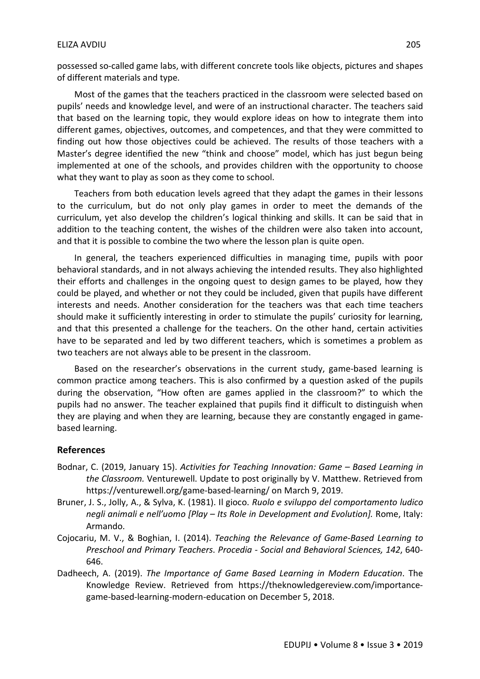possessed so-called game labs, with different concrete tools like objects, pictures and shapes of different materials and type.

Most of the games that the teachers practiced in the classroom were selected based on pupils' needs and knowledge level, and were of an instructional character. The teachers said that based on the learning topic, they would explore ideas on how to integrate them into different games, objectives, outcomes, and competences, and that they were committed to finding out how those objectives could be achieved. The results of those teachers with a Master's degree identified the new "think and choose" model, which has just begun being implemented at one of the schools, and provides children with the opportunity to choose what they want to play as soon as they come to school.

Teachers from both education levels agreed that they adapt the games in their lessons to the curriculum, but do not only play games in order to meet the demands of the curriculum, yet also develop the children's logical thinking and skills. It can be said that in addition to the teaching content, the wishes of the children were also taken into account, and that it is possible to combine the two where the lesson plan is quite open.

In general, the teachers experienced difficulties in managing time, pupils with poor behavioral standards, and in not always achieving the intended results. They also highlighted their efforts and challenges in the ongoing quest to design games to be played, how they could be played, and whether or not they could be included, given that pupils have different interests and needs. Another consideration for the teachers was that each time teachers should make it sufficiently interesting in order to stimulate the pupils' curiosity for learning, and that this presented a challenge for the teachers. On the other hand, certain activities have to be separated and led by two different teachers, which is sometimes a problem as two teachers are not always able to be present in the classroom.

Based on the researcher's observations in the current study, game-based learning is common practice among teachers. This is also confirmed by a question asked of the pupils during the observation, "How often are games applied in the classroom?" to which the pupils had no answer. The teacher explained that pupils find it difficult to distinguish when they are playing and when they are learning, because they are constantly engaged in gamebased learning.

#### **References**

- Bodnar, C. (2019, January 15). *Activities for Teaching Innovation: Game – Based Learning in the Classroom.* Venturewell. Update to post originally by V. Matthew. Retrieved from https://venturewell.org/game-based-learning/ on March 9, 2019.
- Bruner, J. S., Jolly, A., & Sylva, K. (1981). Il gioco. *Ruolo e sviluppo del comportamento ludico negli animali e nell'uomo [Play – Its Role in Development and Evolution].* Rome, Italy: Armando.
- Cojocariu, M. V., & Boghian, I. (2014). *Teaching the Relevance of Game-Based Learning to Preschool and Primary Teachers*. *Procedia - Social and Behavioral Sciences, 142*, 640- 646.
- Dadheech, A. (2019). *The Importance of Game Based Learning in Modern Education*. The Knowledge Review. Retrieved from https://theknowledgereview.com/importancegame-based-learning-modern-education on December 5, 2018.